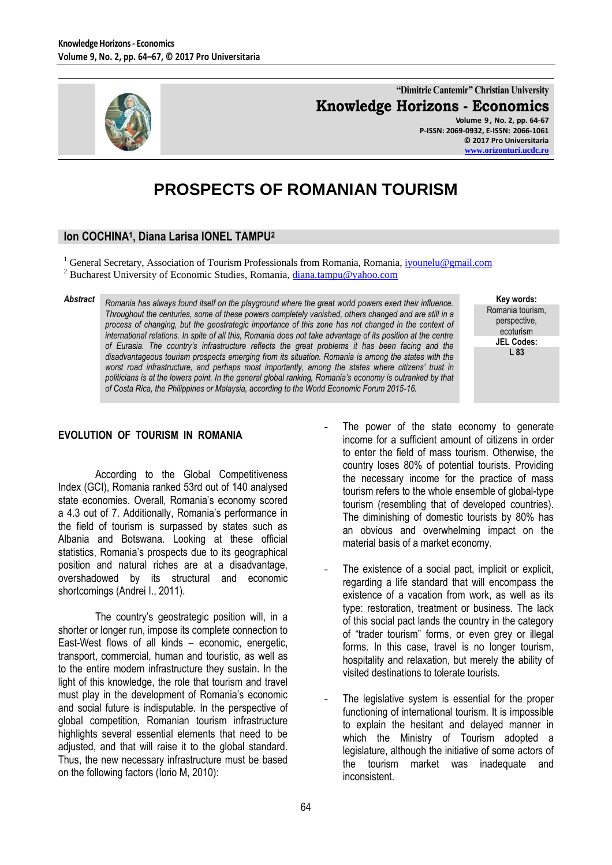

**"Dimitrie Cantemir" Christian University Knowledge Horizons - Economics Volume 9 , No. 2, pp. 64-67**

**P-ISSN: 2069-0932, E-ISSN: 2066-1061 © 2017 Pro Universitaria [www.orizonturi.ucdc.ro](http://www.orizonturi.ucdc.ro/)**

# **PROSPECTS OF ROMANIAN TOURISM**

# **Ion COCHINA<sup>1</sup> , Diana Larisa IONEL TAMPU<sup>2</sup>**

<sup>1</sup> General Secretary, Association of Tourism Professionals from Romania, Romania[, iyounelu@gmail.com](mailto:iyounelu@gmail.com) <sup>2</sup> Bucharest University of Economic Studies, Romania, *diana.tampu@yahoo.com* 

*Abstract Romania has always found itself on the playground where the great world powers exert their influence. Throughout the centuries, some of these powers completely vanished, others changed and are still in a process of changing, but the geostrategic importance of this zone has not changed in the context of international relations. In spite of all this, Romania does not take advantage of its position at the centre of Eurasia. The country's infrastructure reflects the great problems it has been facing and the disadvantageous tourism prospects emerging from its situation. Romania is among the states with the worst road infrastructure, and perhaps most importantly, among the states where citizens' trust in politicians is at the lowers point. In the general global ranking, Romania's economy is outranked by that of Costa Rica, the Philippines or Malaysia, according to the World Economic Forum 2015-16.*

## Romania tourism, perspective, ecoturism **JEL Codes: L 83**

**Key words:**

## **EVOLUTION OF TOURISM IN ROMANIA**

According to the Global Competitiveness Index (GCI), Romania ranked 53rd out of 140 analysed state economies. Overall, Romania's economy scored a 4.3 out of 7. Additionally, Romania"s performance in the field of tourism is surpassed by states such as Albania and Botswana. Looking at these official statistics, Romania's prospects due to its geographical position and natural riches are at a disadvantage, overshadowed by its structural and economic shortcomings (Andrei I., 2011).

The country's geostrategic position will, in a shorter or longer run, impose its complete connection to East-West flows of all kinds – economic, energetic, transport, commercial, human and touristic, as well as to the entire modern infrastructure they sustain. In the light of this knowledge, the role that tourism and travel must play in the development of Romania's economic and social future is indisputable. In the perspective of global competition, Romanian tourism infrastructure highlights several essential elements that need to be adjusted, and that will raise it to the global standard. Thus, the new necessary infrastructure must be based on the following factors (Iorio M, 2010):

- The power of the state economy to generate income for a sufficient amount of citizens in order to enter the field of mass tourism. Otherwise, the country loses 80% of potential tourists. Providing the necessary income for the practice of mass tourism refers to the whole ensemble of global-type tourism (resembling that of developed countries). The diminishing of domestic tourists by 80% has an obvious and overwhelming impact on the material basis of a market economy.
- The existence of a social pact, implicit or explicit, regarding a life standard that will encompass the existence of a vacation from work, as well as its type: restoration, treatment or business. The lack of this social pact lands the country in the category of "trader tourism" forms, or even grey or illegal forms. In this case, travel is no longer tourism, hospitality and relaxation, but merely the ability of visited destinations to tolerate tourists.
- The legislative system is essential for the proper functioning of international tourism. It is impossible to explain the hesitant and delayed manner in which the Ministry of Tourism adopted a legislature, although the initiative of some actors of the tourism market was inadequate and inconsistent.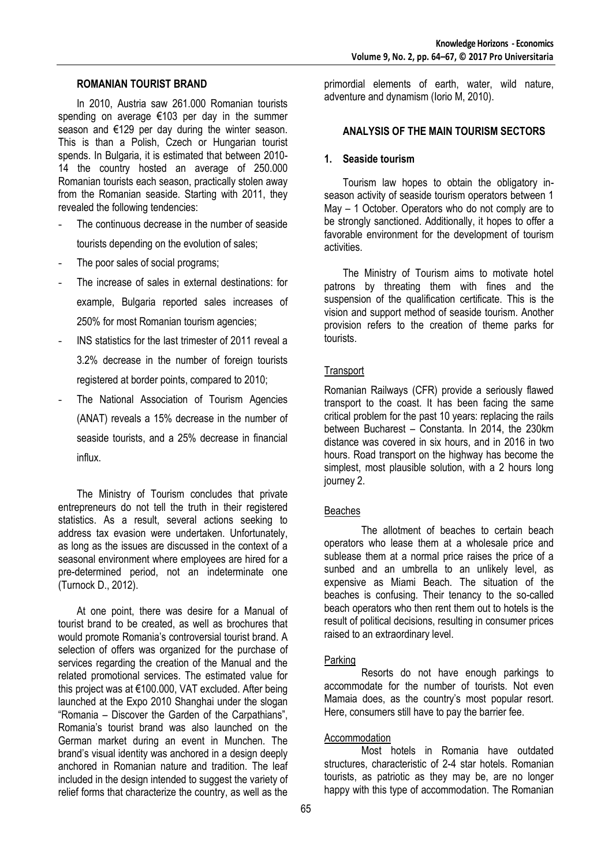#### **ROMANIAN TOURIST BRAND**

In 2010, Austria saw 261.000 Romanian tourists spending on average €103 per day in the summer season and €129 per day during the winter season. This is than a Polish, Czech or Hungarian tourist spends. In Bulgaria, it is estimated that between 2010- 14 the country hosted an average of 250.000 Romanian tourists each season, practically stolen away from the Romanian seaside. Starting with 2011, they revealed the following tendencies:

- The continuous decrease in the number of seaside tourists depending on the evolution of sales;
- The poor sales of social programs;
- The increase of sales in external destinations: for example, Bulgaria reported sales increases of 250% for most Romanian tourism agencies;
- INS statistics for the last trimester of 2011 reveal a 3.2% decrease in the number of foreign tourists registered at border points, compared to 2010;
- The National Association of Tourism Agencies (ANAT) reveals a 15% decrease in the number of seaside tourists, and a 25% decrease in financial influx.

The Ministry of Tourism concludes that private entrepreneurs do not tell the truth in their registered statistics. As a result, several actions seeking to address tax evasion were undertaken. Unfortunately, as long as the issues are discussed in the context of a seasonal environment where employees are hired for a pre-determined period, not an indeterminate one (Turnock D., 2012).

At one point, there was desire for a Manual of tourist brand to be created, as well as brochures that would promote Romania's controversial tourist brand. A selection of offers was organized for the purchase of services regarding the creation of the Manual and the related promotional services. The estimated value for this project was at €100.000, VAT excluded. After being launched at the Expo 2010 Shanghai under the slogan "Romania – Discover the Garden of the Carpathians", Romania"s tourist brand was also launched on the German market during an event in Munchen. The brand"s visual identity was anchored in a design deeply anchored in Romanian nature and tradition. The leaf included in the design intended to suggest the variety of relief forms that characterize the country, as well as the

primordial elements of earth, water, wild nature, adventure and dynamism (Iorio M, 2010).

### **ANALYSIS OF THE MAIN TOURISM SECTORS**

#### **1. Seaside tourism**

Tourism law hopes to obtain the obligatory inseason activity of seaside tourism operators between 1 May – 1 October. Operators who do not comply are to be strongly sanctioned. Additionally, it hopes to offer a favorable environment for the development of tourism activities.

The Ministry of Tourism aims to motivate hotel patrons by threating them with fines and the suspension of the qualification certificate. This is the vision and support method of seaside tourism. Another provision refers to the creation of theme parks for tourists.

#### **Transport**

Romanian Railways (CFR) provide a seriously flawed transport to the coast. It has been facing the same critical problem for the past 10 years: replacing the rails between Bucharest – Constanta. In 2014, the 230km distance was covered in six hours, and in 2016 in two hours. Road transport on the highway has become the simplest, most plausible solution, with a 2 hours long journey 2.

## Beaches

The allotment of beaches to certain beach operators who lease them at a wholesale price and sublease them at a normal price raises the price of a sunbed and an umbrella to an unlikely level, as expensive as Miami Beach. The situation of the beaches is confusing. Their tenancy to the so-called beach operators who then rent them out to hotels is the result of political decisions, resulting in consumer prices raised to an extraordinary level.

#### Parking

Resorts do not have enough parkings to accommodate for the number of tourists. Not even Mamaia does, as the country's most popular resort. Here, consumers still have to pay the barrier fee.

#### Accommodation

Most hotels in Romania have outdated structures, characteristic of 2-4 star hotels. Romanian tourists, as patriotic as they may be, are no longer happy with this type of accommodation. The Romanian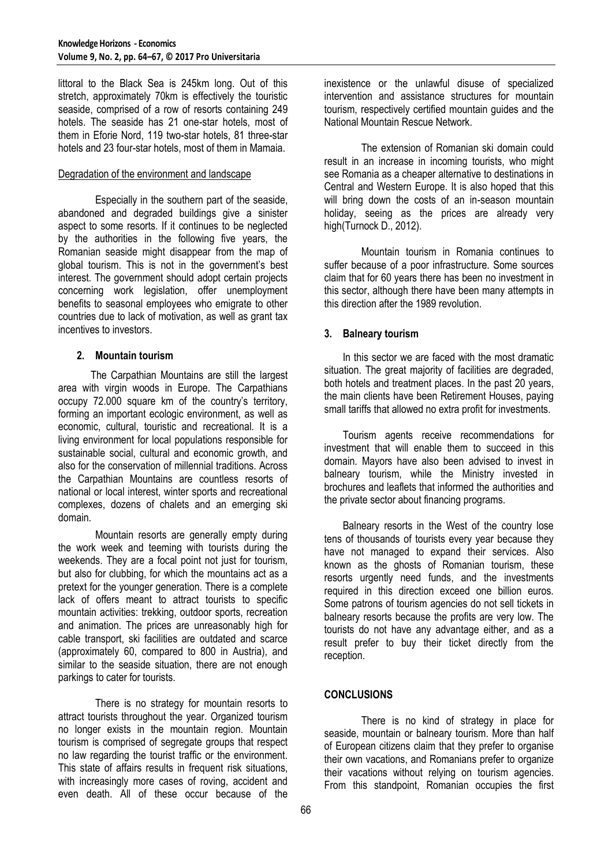littoral to the Black Sea is 245km long. Out of this stretch, approximately 70km is effectively the touristic seaside, comprised of a row of resorts containing 249 hotels. The seaside has 21 one-star hotels, most of them in Eforie Nord, 119 two-star hotels, 81 three-star hotels and 23 four-star hotels, most of them in Mamaia.

### Degradation of the environment and landscape

Especially in the southern part of the seaside, abandoned and degraded buildings give a sinister aspect to some resorts. If it continues to be neglected by the authorities in the following five years, the Romanian seaside might disappear from the map of global tourism. This is not in the government's best interest. The government should adopt certain projects concerning work legislation, offer unemployment benefits to seasonal employees who emigrate to other countries due to lack of motivation, as well as grant tax incentives to investors.

#### **2. Mountain tourism**

The Carpathian Mountains are still the largest area with virgin woods in Europe. The Carpathians occupy 72.000 square km of the country"s territory, forming an important ecologic environment, as well as economic, cultural, touristic and recreational. It is a living environment for local populations responsible for sustainable social, cultural and economic growth, and also for the conservation of millennial traditions. Across the Carpathian Mountains are countless resorts of national or local interest, winter sports and recreational complexes, dozens of chalets and an emerging ski domain.

Mountain resorts are generally empty during the work week and teeming with tourists during the weekends. They are a focal point not just for tourism, but also for clubbing, for which the mountains act as a pretext for the younger generation. There is a complete lack of offers meant to attract tourists to specific mountain activities: trekking, outdoor sports, recreation and animation. The prices are unreasonably high for cable transport, ski facilities are outdated and scarce (approximately 60, compared to 800 in Austria), and similar to the seaside situation, there are not enough parkings to cater for tourists.

There is no strategy for mountain resorts to attract tourists throughout the year. Organized tourism no longer exists in the mountain region. Mountain tourism is comprised of segregate groups that respect no law regarding the tourist traffic or the environment. This state of affairs results in frequent risk situations, with increasingly more cases of roving, accident and even death. All of these occur because of the

inexistence or the unlawful disuse of specialized intervention and assistance structures for mountain tourism, respectively certified mountain guides and the National Mountain Rescue Network.

The extension of Romanian ski domain could result in an increase in incoming tourists, who might see Romania as a cheaper alternative to destinations in Central and Western Europe. It is also hoped that this will bring down the costs of an in-season mountain holiday, seeing as the prices are already very high(Turnock D., 2012).

Mountain tourism in Romania continues to suffer because of a poor infrastructure. Some sources claim that for 60 years there has been no investment in this sector, although there have been many attempts in this direction after the 1989 revolution.

## **3. Balneary tourism**

In this sector we are faced with the most dramatic situation. The great majority of facilities are degraded, both hotels and treatment places. In the past 20 years, the main clients have been Retirement Houses, paying small tariffs that allowed no extra profit for investments.

Tourism agents receive recommendations for investment that will enable them to succeed in this domain. Mayors have also been advised to invest in balneary tourism, while the Ministry invested in brochures and leaflets that informed the authorities and the private sector about financing programs.

Balneary resorts in the West of the country lose tens of thousands of tourists every year because they have not managed to expand their services. Also known as the ghosts of Romanian tourism, these resorts urgently need funds, and the investments required in this direction exceed one billion euros. Some patrons of tourism agencies do not sell tickets in balneary resorts because the profits are very low. The tourists do not have any advantage either, and as a result prefer to buy their ticket directly from the reception.

## **CONCLUSIONS**

There is no kind of strategy in place for seaside, mountain or balneary tourism. More than half of European citizens claim that they prefer to organise their own vacations, and Romanians prefer to organize their vacations without relying on tourism agencies. From this standpoint, Romanian occupies the first